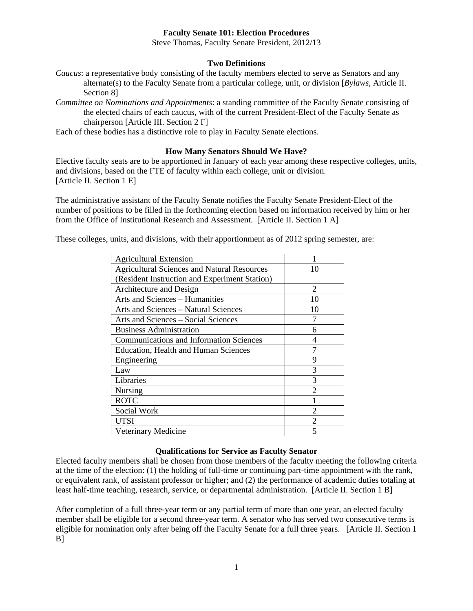### **Faculty Senate 101: Election Procedures**

Steve Thomas, Faculty Senate President, 2012/13

#### **Two Definitions**

*Caucus*: a representative body consisting of the faculty members elected to serve as Senators and any alternate(s) to the Faculty Senate from a particular college, unit, or division [*Bylaws*, Article II. Section 8]

*Committee on Nominations and Appointments*: a standing committee of the Faculty Senate consisting of the elected chairs of each caucus, with of the current President-Elect of the Faculty Senate as chairperson [Article III. Section 2 F]

Each of these bodies has a distinctive role to play in Faculty Senate elections.

### **How Many Senators Should We Have?**

Elective faculty seats are to be apportioned in January of each year among these respective colleges, units, and divisions, based on the FTE of faculty within each college, unit or division. [Article II. Section 1 E]

The administrative assistant of the Faculty Senate notifies the Faculty Senate President-Elect of the number of positions to be filled in the forthcoming election based on information received by him or her from the Office of Institutional Research and Assessment. [Article II. Section 1 A]

These colleges, units, and divisions, with their apportionment as of 2012 spring semester, are:

| <b>Agricultural Extension</b>                      |                             |
|----------------------------------------------------|-----------------------------|
| <b>Agricultural Sciences and Natural Resources</b> | 10                          |
| (Resident Instruction and Experiment Station)      |                             |
| Architecture and Design                            | $\mathcal{D}_{\mathcal{A}}$ |
| Arts and Sciences - Humanities                     | 10                          |
| <b>Arts and Sciences - Natural Sciences</b>        | 10                          |
| Arts and Sciences – Social Sciences                |                             |
| <b>Business Administration</b>                     | 6                           |
| <b>Communications and Information Sciences</b>     | 4                           |
| <b>Education, Health and Human Sciences</b>        |                             |
| Engineering                                        | 9                           |
| Law                                                | 3                           |
| Libraries                                          | 3                           |
| Nursing                                            | $\mathcal{D}_{\mathcal{L}}$ |
| <b>ROTC</b>                                        |                             |
| Social Work                                        | $\mathfrak{D}$              |
| UTSI                                               |                             |
| Veterinary Medicine                                |                             |

#### **Qualifications for Service as Faculty Senator**

Elected faculty members shall be chosen from those members of the faculty meeting the following criteria at the time of the election: (1) the holding of full-time or continuing part-time appointment with the rank, or equivalent rank, of assistant professor or higher; and (2) the performance of academic duties totaling at least half-time teaching, research, service, or departmental administration. [Article II. Section 1 B]

After completion of a full three-year term or any partial term of more than one year, an elected faculty member shall be eligible for a second three-year term. A senator who has served two consecutive terms is eligible for nomination only after being off the Faculty Senate for a full three years. [Article II. Section 1 B]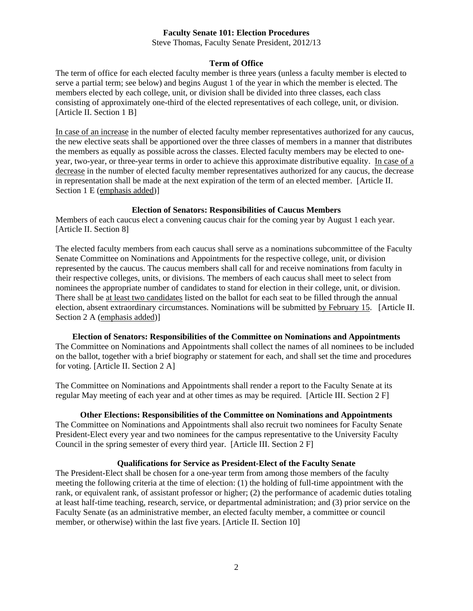#### **Faculty Senate 101: Election Procedures**

Steve Thomas, Faculty Senate President, 2012/13

## **Term of Office**

The term of office for each elected faculty member is three years (unless a faculty member is elected to serve a partial term; see below) and begins August 1 of the year in which the member is elected. The members elected by each college, unit, or division shall be divided into three classes, each class consisting of approximately one-third of the elected representatives of each college, unit, or division. [Article II. Section 1 B]

In case of an increase in the number of elected faculty member representatives authorized for any caucus, the new elective seats shall be apportioned over the three classes of members in a manner that distributes the members as equally as possible across the classes. Elected faculty members may be elected to oneyear, two-year, or three-year terms in order to achieve this approximate distributive equality. In case of a decrease in the number of elected faculty member representatives authorized for any caucus, the decrease in representation shall be made at the next expiration of the term of an elected member. [Article II. Section 1 E (emphasis added)]

#### **Election of Senators: Responsibilities of Caucus Members**

Members of each caucus elect a convening caucus chair for the coming year by August 1 each year. [Article II. Section 8]

The elected faculty members from each caucus shall serve as a nominations subcommittee of the Faculty Senate Committee on Nominations and Appointments for the respective college, unit, or division represented by the caucus. The caucus members shall call for and receive nominations from faculty in their respective colleges, units, or divisions. The members of each caucus shall meet to select from nominees the appropriate number of candidates to stand for election in their college, unit, or division. There shall be at least two candidates listed on the ballot for each seat to be filled through the annual election, absent extraordinary circumstances. Nominations will be submitted by February 15. [Article II. Section 2 A (emphasis added)]

 **Election of Senators: Responsibilities of the Committee on Nominations and Appointments**  The Committee on Nominations and Appointments shall collect the names of all nominees to be included on the ballot, together with a brief biography or statement for each, and shall set the time and procedures for voting. [Article II. Section 2 A]

The Committee on Nominations and Appointments shall render a report to the Faculty Senate at its regular May meeting of each year and at other times as may be required. [Article III. Section 2 F]

## **Other Elections: Responsibilities of the Committee on Nominations and Appointments**

The Committee on Nominations and Appointments shall also recruit two nominees for Faculty Senate President-Elect every year and two nominees for the campus representative to the University Faculty Council in the spring semester of every third year. [Article III. Section 2 F]

## **Qualifications for Service as President-Elect of the Faculty Senate**

The President-Elect shall be chosen for a one-year term from among those members of the faculty meeting the following criteria at the time of election: (1) the holding of full-time appointment with the rank, or equivalent rank, of assistant professor or higher; (2) the performance of academic duties totaling at least half-time teaching, research, service, or departmental administration; and (3) prior service on the Faculty Senate (as an administrative member, an elected faculty member, a committee or council member, or otherwise) within the last five years. [Article II. Section 10]